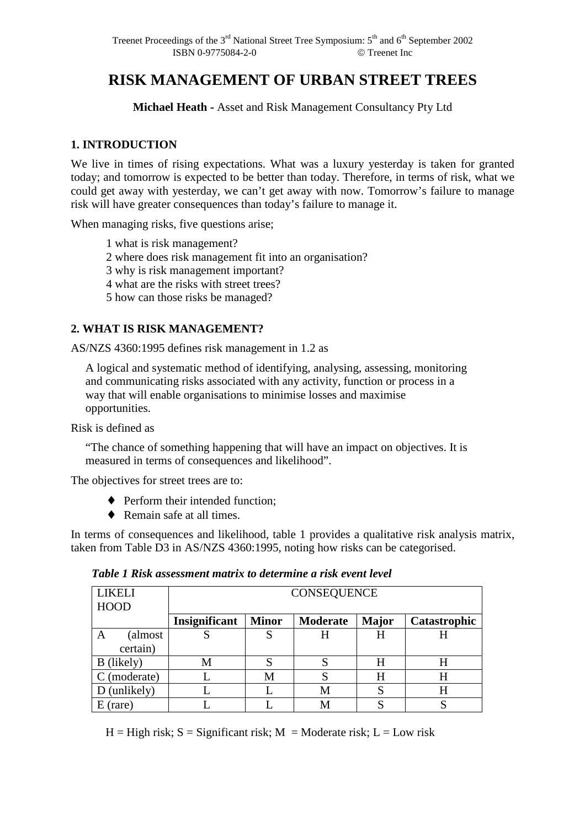# **RISK MANAGEMENT OF URBAN STREET TREES**

**Michael Heath -** Asset and Risk Management Consultancy Pty Ltd

## **1. INTRODUCTION**

We live in times of rising expectations. What was a luxury yesterday is taken for granted today; and tomorrow is expected to be better than today. Therefore, in terms of risk, what we could get away with yesterday, we can't get away with now. Tomorrow's failure to manage risk will have greater consequences than today's failure to manage it.

When managing risks, five questions arise;

1 what is risk management?

2 where does risk management fit into an organisation?

3 why is risk management important?

4 what are the risks with street trees?

5 how can those risks be managed?

## **2. WHAT IS RISK MANAGEMENT?**

AS/NZS 4360:1995 defines risk management in 1.2 as

A logical and systematic method of identifying, analysing, assessing, monitoring and communicating risks associated with any activity, function or process in a way that will enable organisations to minimise losses and maximise opportunities.

Risk is defined as

 "The chance of something happening that will have an impact on objectives. It is measured in terms of consequences and likelihood".

The objectives for street trees are to:

- ♦ Perform their intended function;
- ♦ Remain safe at all times.

In terms of consequences and likelihood, table 1 provides a qualitative risk analysis matrix, taken from Table D3 in AS/NZS 4360:1995, noting how risks can be categorised.

*Table 1 Risk assessment matrix to determine a risk event level* 

| <b>LIKELI</b><br><b>HOOD</b> | <b>CONSEQUENCE</b> |              |          |              |              |  |
|------------------------------|--------------------|--------------|----------|--------------|--------------|--|
|                              | Insignificant      | <b>Minor</b> | Moderate | <b>Major</b> | Catastrophic |  |
| (almost<br>A                 |                    | C            | H        | H            |              |  |
| certain)                     |                    |              |          |              |              |  |
| B (likely)                   | M                  |              | S        | Н            |              |  |
| (moderate)                   |                    | М            | S        | H            |              |  |
| (unlikely)                   |                    |              | М        |              | H            |  |
| (rare)                       |                    |              | M        |              |              |  |

 $H = High risk$ ;  $S = Significant risk$ ;  $M = Moderned data risk$ ;  $L = Low risk$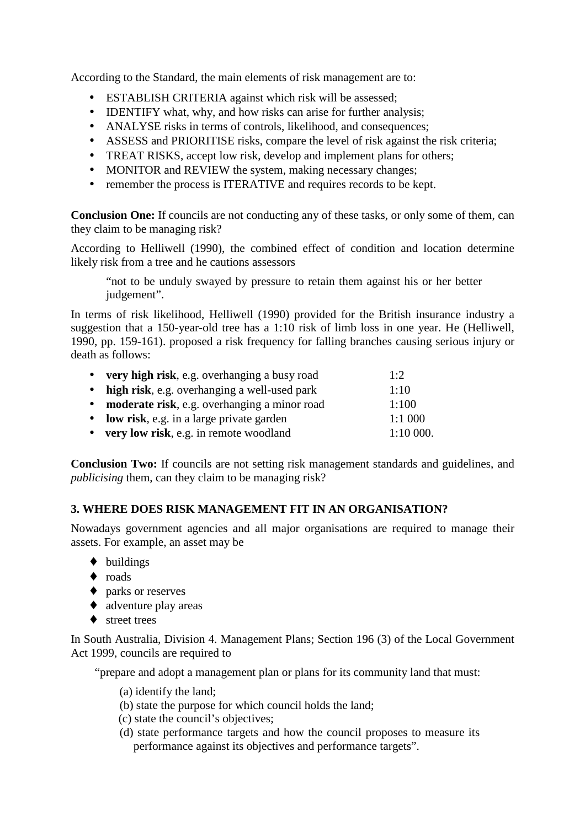According to the Standard, the main elements of risk management are to:

- ESTABLISH CRITERIA against which risk will be assessed;
- **IDENTIFY** what, why, and how risks can arise for further analysis;
- ANALYSE risks in terms of controls, likelihood, and consequences;
- ASSESS and PRIORITISE risks, compare the level of risk against the risk criteria;
- TREAT RISKS, accept low risk, develop and implement plans for others;
- MONITOR and REVIEW the system, making necessary changes;
- remember the process is ITERATIVE and requires records to be kept.

**Conclusion One:** If councils are not conducting any of these tasks, or only some of them, can they claim to be managing risk?

According to Helliwell (1990), the combined effect of condition and location determine likely risk from a tree and he cautions assessors

"not to be unduly swayed by pressure to retain them against his or her better judgement".

In terms of risk likelihood, Helliwell (1990) provided for the British insurance industry a suggestion that a 150-year-old tree has a 1:10 risk of limb loss in one year. He (Helliwell, 1990, pp. 159-161). proposed a risk frequency for falling branches causing serious injury or death as follows:

| • very high risk, e.g. overhanging a busy road | 1:2      |
|------------------------------------------------|----------|
| • high risk, e.g. overhanging a well-used park | 1:10     |
| • moderate risk, e.g. overhanging a minor road | 1:100    |
| • low risk, e.g. in a large private garden     | 1:1000   |
| • very low risk, e.g. in remote woodland       | 1:10000. |

**Conclusion Two:** If councils are not setting risk management standards and guidelines, and *publicising* them, can they claim to be managing risk?

# **3. WHERE DOES RISK MANAGEMENT FIT IN AN ORGANISATION?**

Nowadays government agencies and all major organisations are required to manage their assets. For example, an asset may be

- ♦ buildings
- ♦ roads
- ♦ parks or reserves
- $\triangleleft$  adventure play areas
- ♦ street trees

In South Australia, Division 4. Management Plans; Section 196 (3) of the Local Government Act 1999, councils are required to

"prepare and adopt a management plan or plans for its community land that must:

- (a) identify the land;
- (b) state the purpose for which council holds the land;
- (c) state the council's objectives;
- (d) state performance targets and how the council proposes to measure its performance against its objectives and performance targets".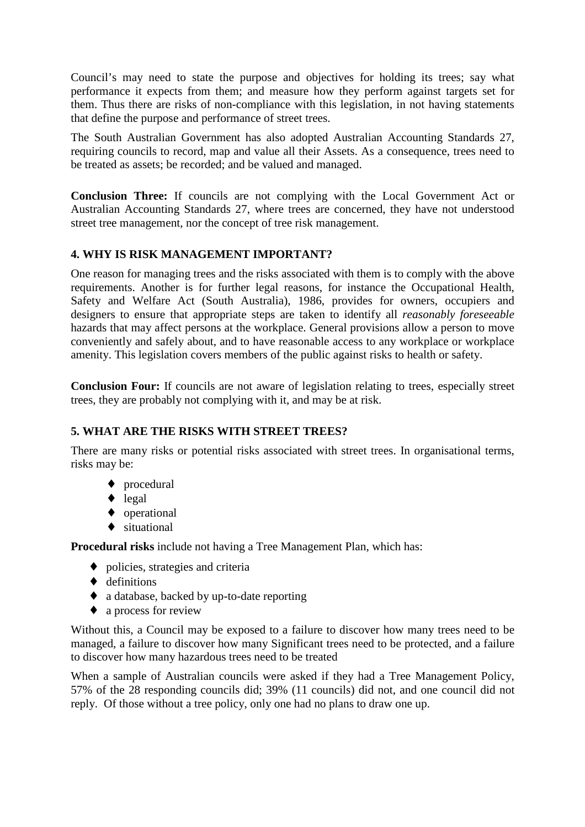Council's may need to state the purpose and objectives for holding its trees; say what performance it expects from them; and measure how they perform against targets set for them. Thus there are risks of non-compliance with this legislation, in not having statements that define the purpose and performance of street trees.

The South Australian Government has also adopted Australian Accounting Standards 27, requiring councils to record, map and value all their Assets. As a consequence, trees need to be treated as assets; be recorded; and be valued and managed.

**Conclusion Three:** If councils are not complying with the Local Government Act or Australian Accounting Standards 27, where trees are concerned, they have not understood street tree management, nor the concept of tree risk management.

# **4. WHY IS RISK MANAGEMENT IMPORTANT?**

One reason for managing trees and the risks associated with them is to comply with the above requirements. Another is for further legal reasons, for instance the Occupational Health, Safety and Welfare Act (South Australia), 1986, provides for owners, occupiers and designers to ensure that appropriate steps are taken to identify all *reasonably foreseeable* hazards that may affect persons at the workplace. General provisions allow a person to move conveniently and safely about, and to have reasonable access to any workplace or workplace amenity. This legislation covers members of the public against risks to health or safety.

**Conclusion Four:** If councils are not aware of legislation relating to trees, especially street trees, they are probably not complying with it, and may be at risk.

## **5. WHAT ARE THE RISKS WITH STREET TREES?**

There are many risks or potential risks associated with street trees. In organisational terms, risks may be:

- ♦ procedural
- $\bullet$  legal
- ♦ operational
- ♦ situational

**Procedural risks** include not having a Tree Management Plan, which has:

- ♦ policies, strategies and criteria
- ♦ definitions
- ♦ a database, backed by up-to-date reporting
- ♦ a process for review

Without this, a Council may be exposed to a failure to discover how many trees need to be managed, a failure to discover how many Significant trees need to be protected, and a failure to discover how many hazardous trees need to be treated

When a sample of Australian councils were asked if they had a Tree Management Policy, 57% of the 28 responding councils did; 39% (11 councils) did not, and one council did not reply. Of those without a tree policy, only one had no plans to draw one up.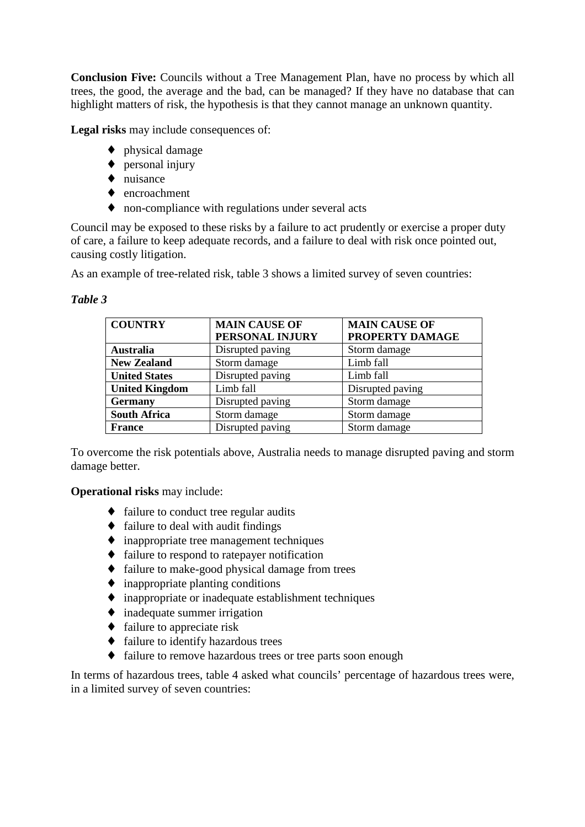**Conclusion Five:** Councils without a Tree Management Plan, have no process by which all trees, the good, the average and the bad, can be managed? If they have no database that can highlight matters of risk, the hypothesis is that they cannot manage an unknown quantity.

**Legal risks** may include consequences of:

- ♦ physical damage
- ♦ personal injury
- ♦ nuisance
- ♦ encroachment
- ♦ non-compliance with regulations under several acts

Council may be exposed to these risks by a failure to act prudently or exercise a proper duty of care, a failure to keep adequate records, and a failure to deal with risk once pointed out, causing costly litigation.

As an example of tree-related risk, table 3 shows a limited survey of seven countries:

#### *Table 3*

| <b>COUNTRY</b>        | <b>MAIN CAUSE OF</b> | <b>MAIN CAUSE OF</b> |  |  |
|-----------------------|----------------------|----------------------|--|--|
|                       | PERSONAL INJURY      | PROPERTY DAMAGE      |  |  |
| <b>Australia</b>      | Disrupted paving     | Storm damage         |  |  |
| <b>New Zealand</b>    | Storm damage         | Limb fall            |  |  |
| <b>United States</b>  | Disrupted paving     | Limb fall            |  |  |
| <b>United Kingdom</b> | Limb fall            | Disrupted paving     |  |  |
| <b>Germany</b>        | Disrupted paving     | Storm damage         |  |  |
| <b>South Africa</b>   | Storm damage         | Storm damage         |  |  |
| <b>France</b>         | Disrupted paving     | Storm damage         |  |  |

To overcome the risk potentials above, Australia needs to manage disrupted paving and storm damage better.

**Operational risks** may include:

- ♦ failure to conduct tree regular audits
- ♦ failure to deal with audit findings
- $\bullet$  inappropriate tree management techniques
- ♦ failure to respond to ratepayer notification
- ♦ failure to make-good physical damage from trees
- $\bullet$  inappropriate planting conditions
- ♦ inappropriate or inadequate establishment techniques
- ♦ inadequate summer irrigation
- ♦ failure to appreciate risk
- ♦ failure to identify hazardous trees
- ♦ failure to remove hazardous trees or tree parts soon enough

In terms of hazardous trees, table 4 asked what councils' percentage of hazardous trees were, in a limited survey of seven countries: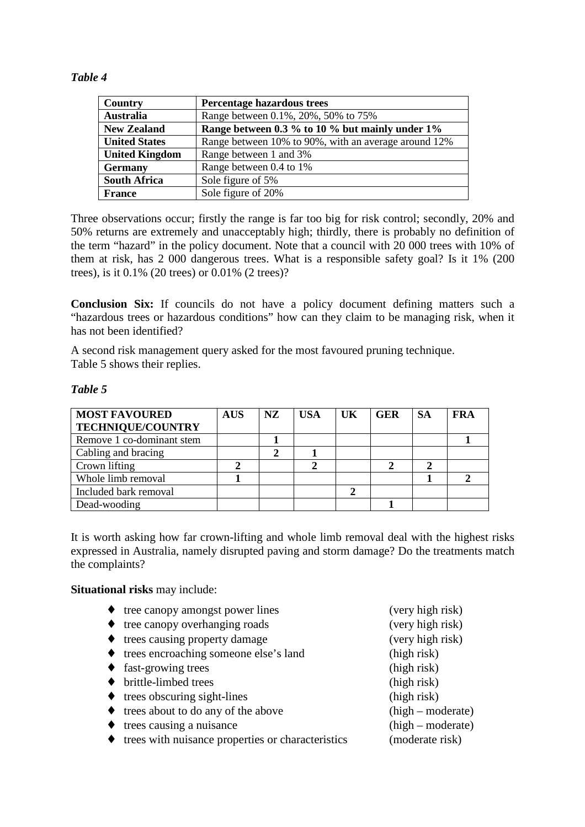#### *Table 4*

| <b>Country</b>        | Percentage hazardous trees                           |
|-----------------------|------------------------------------------------------|
| <b>Australia</b>      | Range between 0.1%, 20%, 50% to 75%                  |
| <b>New Zealand</b>    | Range between 0.3 % to 10 % but mainly under 1%      |
| <b>United States</b>  | Range between 10% to 90%, with an average around 12% |
| <b>United Kingdom</b> | Range between 1 and 3%                               |
| <b>Germany</b>        | Range between 0.4 to 1%                              |
| <b>South Africa</b>   | Sole figure of 5%                                    |
| <b>France</b>         | Sole figure of 20%                                   |

Three observations occur; firstly the range is far too big for risk control; secondly, 20% and 50% returns are extremely and unacceptably high; thirdly, there is probably no definition of the term "hazard" in the policy document. Note that a council with 20 000 trees with 10% of them at risk, has 2 000 dangerous trees. What is a responsible safety goal? Is it 1% (200 trees), is it 0.1% (20 trees) or 0.01% (2 trees)?

**Conclusion Six:** If councils do not have a policy document defining matters such a "hazardous trees or hazardous conditions" how can they claim to be managing risk, when it has not been identified?

A second risk management query asked for the most favoured pruning technique. Table 5 shows their replies.

#### *Table 5*

| <b>MOST FAVOURED</b>      | <b>AUS</b> | NZ. | <b>USA</b> | UK | <b>GER</b> | <b>SA</b> | FRA |
|---------------------------|------------|-----|------------|----|------------|-----------|-----|
| <b>TECHNIQUE/COUNTRY</b>  |            |     |            |    |            |           |     |
| Remove 1 co-dominant stem |            |     |            |    |            |           |     |
| Cabling and bracing       |            |     |            |    |            |           |     |
| Crown lifting             |            |     |            |    |            |           |     |
| Whole limb removal        |            |     |            |    |            |           |     |
| Included bark removal     |            |     |            | ∍  |            |           |     |
| Dead-wooding              |            |     |            |    |            |           |     |

It is worth asking how far crown-lifting and whole limb removal deal with the highest risks expressed in Australia, namely disrupted paving and storm damage? Do the treatments match the complaints?

**Situational risks** may include:

- ♦ tree canopy amongst power lines (very high risk)
- ♦ tree canopy overhanging roads (very high risk)
- ♦ trees causing property damage (very high risk)
- ♦ trees encroaching someone else's land (high risk)
- ♦ fast-growing trees (high risk)
- ♦ brittle-limbed trees (high risk)
- ♦ trees obscuring sight-lines (high risk)
- ♦ trees about to do any of the above (high moderate)
- ♦ trees causing a nuisance (high moderate)
- ♦ trees with nuisance properties or characteristics (moderate risk)
- 
-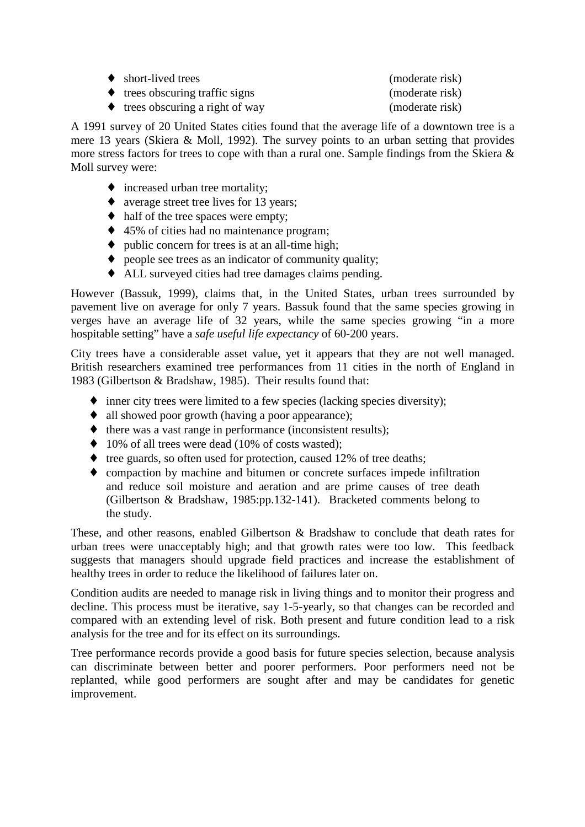| $\leftrightarrow$ short-lived trees             | (moderate risk) |
|-------------------------------------------------|-----------------|
| $\leftrightarrow$ trees obscuring traffic signs | (moderate risk) |
| trees obscuring a right of way                  | (moderate risk) |

A 1991 survey of 20 United States cities found that the average life of a downtown tree is a mere 13 years (Skiera & Moll, 1992). The survey points to an urban setting that provides more stress factors for trees to cope with than a rural one. Sample findings from the Skiera & Moll survey were:

- ♦ increased urban tree mortality;
- ♦ average street tree lives for 13 years;
- half of the tree spaces were empty;
- ♦ 45% of cities had no maintenance program;
- $\bullet$  public concern for trees is at an all-time high;
- ♦ people see trees as an indicator of community quality;
- ♦ ALL surveyed cities had tree damages claims pending.

However (Bassuk, 1999), claims that, in the United States, urban trees surrounded by pavement live on average for only 7 years. Bassuk found that the same species growing in verges have an average life of 32 years, while the same species growing "in a more hospitable setting" have a *safe useful life expectancy* of 60-200 years.

City trees have a considerable asset value, yet it appears that they are not well managed. British researchers examined tree performances from 11 cities in the north of England in 1983 (Gilbertson & Bradshaw, 1985). Their results found that:

- ♦ inner city trees were limited to a few species (lacking species diversity);
- ♦ all showed poor growth (having a poor appearance);
- ♦ there was a vast range in performance (inconsistent results);
- $\bullet$  10% of all trees were dead (10% of costs wasted);
- ♦ tree guards, so often used for protection, caused 12% of tree deaths;
- ♦ compaction by machine and bitumen or concrete surfaces impede infiltration and reduce soil moisture and aeration and are prime causes of tree death (Gilbertson & Bradshaw, 1985:pp.132-141). Bracketed comments belong to the study.

These, and other reasons, enabled Gilbertson & Bradshaw to conclude that death rates for urban trees were unacceptably high; and that growth rates were too low. This feedback suggests that managers should upgrade field practices and increase the establishment of healthy trees in order to reduce the likelihood of failures later on.

Condition audits are needed to manage risk in living things and to monitor their progress and decline. This process must be iterative, say 1-5-yearly, so that changes can be recorded and compared with an extending level of risk. Both present and future condition lead to a risk analysis for the tree and for its effect on its surroundings.

Tree performance records provide a good basis for future species selection, because analysis can discriminate between better and poorer performers. Poor performers need not be replanted, while good performers are sought after and may be candidates for genetic improvement.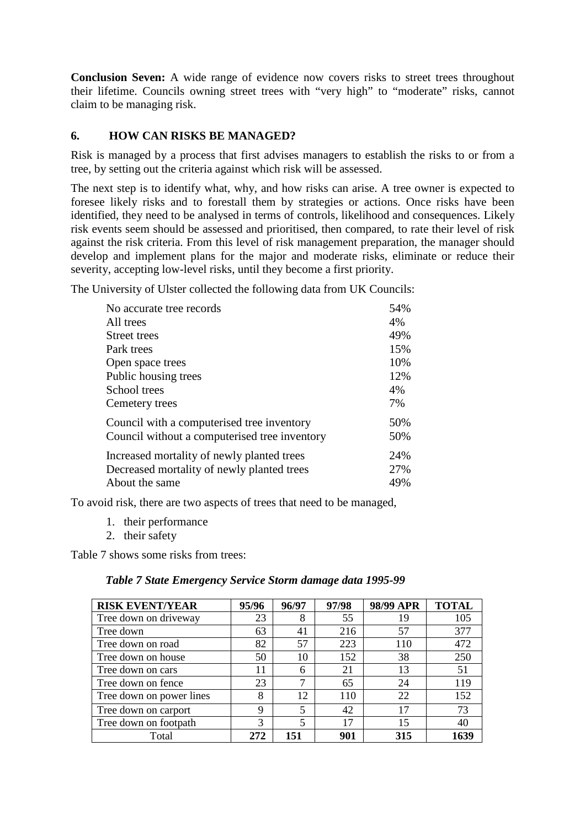**Conclusion Seven:** A wide range of evidence now covers risks to street trees throughout their lifetime. Councils owning street trees with "very high" to "moderate" risks, cannot claim to be managing risk.

## **6. HOW CAN RISKS BE MANAGED?**

Risk is managed by a process that first advises managers to establish the risks to or from a tree, by setting out the criteria against which risk will be assessed.

The next step is to identify what, why, and how risks can arise. A tree owner is expected to foresee likely risks and to forestall them by strategies or actions. Once risks have been identified, they need to be analysed in terms of controls, likelihood and consequences. Likely risk events seem should be assessed and prioritised, then compared, to rate their level of risk against the risk criteria. From this level of risk management preparation, the manager should develop and implement plans for the major and moderate risks, eliminate or reduce their severity, accepting low-level risks, until they become a first priority.

The University of Ulster collected the following data from UK Councils:

| No accurate tree records                      | 54% |
|-----------------------------------------------|-----|
| All trees                                     | 4%  |
| Street trees                                  | 49% |
| Park trees                                    | 15% |
| Open space trees                              | 10% |
| Public housing trees                          | 12% |
| School trees                                  | 4%  |
| Cemetery trees                                | 7%  |
| Council with a computerised tree inventory    | 50% |
| Council without a computerised tree inventory | 50% |
| Increased mortality of newly planted trees    | 24% |
| Decreased mortality of newly planted trees    | 27% |
| About the same                                | 49% |

To avoid risk, there are two aspects of trees that need to be managed,

- 1. their performance
- 2. their safety

Table 7 shows some risks from trees:

#### *Table 7 State Emergency Service Storm damage data 1995-99*

| <b>RISK EVENT/YEAR</b>   | 95/96 | 96/97                    | 97/98 | 98/99 APR | <b>TOTAL</b> |
|--------------------------|-------|--------------------------|-------|-----------|--------------|
| Tree down on driveway    | 23    | 8                        | 55    | 19        | 105          |
| Tree down                | 63    | 41                       | 216   | 57        | 377          |
| Tree down on road        | 82    | 57                       | 223   | 110       | 472          |
| Tree down on house       | 50    | 10                       | 152   | 38        | 250          |
| Tree down on cars        | 11    | 6                        | 21    | 13        | 51           |
| Tree down on fence       | 23    | 7                        | 65    | 24        | 119          |
| Tree down on power lines | 8     | 12                       | 110   | 22        | 152          |
| Tree down on carport     | 9     | $\overline{\phantom{0}}$ | 42    | 17        | 73           |
| Tree down on footpath    | 3     | $\overline{\phantom{0}}$ | 17    | 15        | 40           |
| Total                    | 272   | 151                      | 901   | 315       |              |